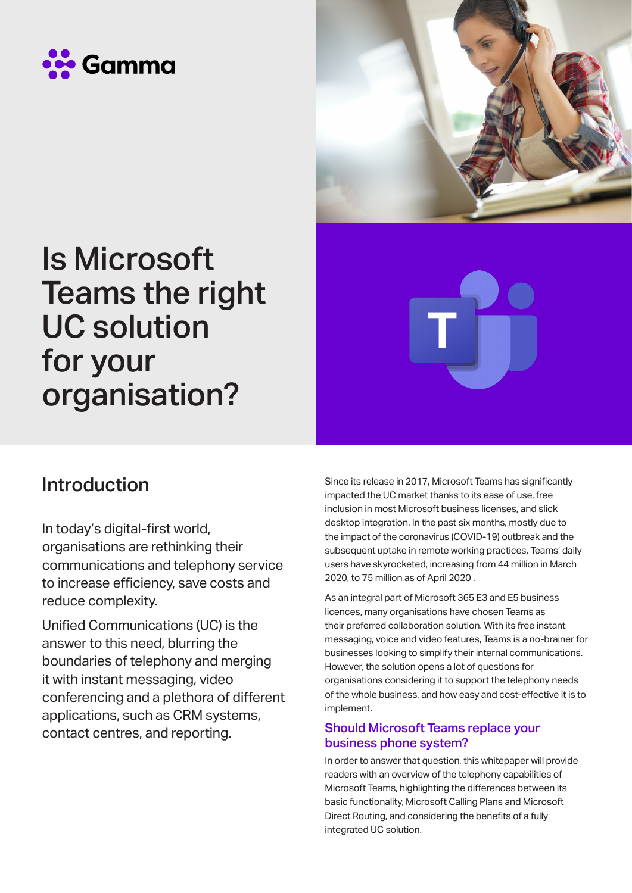



# Is Microsoft Teams the right UC solution for your organisation?

### Introduction

In today's digital-first world, organisations are rethinking their communications and telephony service to increase efficiency, save costs and reduce complexity.

Unified Communications (UC) is the answer to this need, blurring the boundaries of telephony and merging it with instant messaging, video conferencing and a plethora of different applications, such as CRM systems, contact centres, and reporting.

Since its release in 2017, Microsoft Teams has significantly impacted the UC market thanks to its ease of use, free inclusion in most Microsoft business licenses, and slick desktop integration. In the past six months, mostly due to the impact of the coronavirus (COVID-19) outbreak and the subsequent uptake in remote working practices, Teams' daily users have skyrocketed, increasing from 44 million in March 2020, to 75 million as of April 2020 .

As an integral part of Microsoft 365 E3 and E5 business licences, many organisations have chosen Teams as their preferred collaboration solution. With its free instant messaging, voice and video features, Teams is a no-brainer for businesses looking to simplify their internal communications. However, the solution opens a lot of questions for organisations considering it to support the telephony needs of the whole business, and how easy and cost-effective it is to implement.

#### Should Microsoft Teams replace your business phone system?

In order to answer that question, this whitepaper will provide readers with an overview of the telephony capabilities of Microsoft Teams, highlighting the differences between its basic functionality, Microsoft Calling Plans and Microsoft Direct Routing, and considering the benefits of a fully integrated UC solution.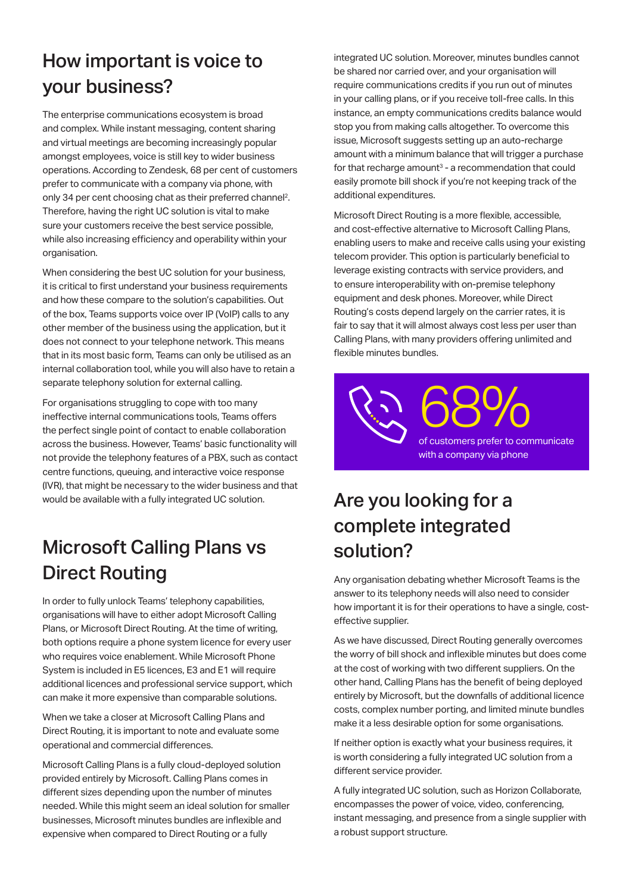## How important is voice to your business?

The enterprise communications ecosystem is broad and complex. While instant messaging, content sharing and virtual meetings are becoming increasingly popular amongst employees, voice is still key to wider business operations. According to Zendesk, 68 per cent of customers prefer to communicate with a company via phone, with only 34 per cent choosing chat as their preferred channel2. Therefore, having the right UC solution is vital to make sure your customers receive the best service possible, while also increasing efficiency and operability within your organisation.

When considering the best UC solution for your business, it is critical to first understand your business requirements and how these compare to the solution's capabilities. Out of the box, Teams supports voice over IP (VoIP) calls to any other member of the business using the application, but it does not connect to your telephone network. This means that in its most basic form, Teams can only be utilised as an internal collaboration tool, while you will also have to retain a separate telephony solution for external calling.

For organisations struggling to cope with too many ineffective internal communications tools, Teams offers the perfect single point of contact to enable collaboration across the business. However, Teams' basic functionality will not provide the telephony features of a PBX, such as contact centre functions, queuing, and interactive voice response (IVR), that might be necessary to the wider business and that would be available with a fully integrated UC solution.

# Microsoft Calling Plans vs Direct Routing

In order to fully unlock Teams' telephony capabilities, organisations will have to either adopt Microsoft Calling Plans, or Microsoft Direct Routing. At the time of writing, both options require a phone system licence for every user who requires voice enablement. While Microsoft Phone System is included in E5 licences, E3 and E1 will require additional licences and professional service support, which can make it more expensive than comparable solutions.

When we take a closer at Microsoft Calling Plans and Direct Routing, it is important to note and evaluate some operational and commercial differences.

Microsoft Calling Plans is a fully cloud-deployed solution provided entirely by Microsoft. Calling Plans comes in different sizes depending upon the number of minutes needed. While this might seem an ideal solution for smaller businesses, Microsoft minutes bundles are inflexible and expensive when compared to Direct Routing or a fully

integrated UC solution. Moreover, minutes bundles cannot be shared nor carried over, and your organisation will require communications credits if you run out of minutes in your calling plans, or if you receive toll-free calls. In this instance, an empty communications credits balance would stop you from making calls altogether. To overcome this issue, Microsoft suggests setting up an auto-recharge amount with a minimum balance that will trigger a purchase for that recharge amount<sup>3</sup> - a recommendation that could easily promote bill shock if you're not keeping track of the additional expenditures.

Microsoft Direct Routing is a more flexible, accessible, and cost-effective alternative to Microsoft Calling Plans, enabling users to make and receive calls using your existing telecom provider. This option is particularly beneficial to leverage existing contracts with service providers, and to ensure interoperability with on-premise telephony equipment and desk phones. Moreover, while Direct Routing's costs depend largely on the carrier rates, it is fair to say that it will almost always cost less per user than Calling Plans, with many providers offering unlimited and flexible minutes bundles.

68% of customers prefer to communicate with a company via phone

## Are you looking for a complete integrated solution?

Any organisation debating whether Microsoft Teams is the answer to its telephony needs will also need to consider how important it is for their operations to have a single, costeffective supplier.

As we have discussed, Direct Routing generally overcomes the worry of bill shock and inflexible minutes but does come at the cost of working with two different suppliers. On the other hand, Calling Plans has the benefit of being deployed entirely by Microsoft, but the downfalls of additional licence costs, complex number porting, and limited minute bundles make it a less desirable option for some organisations.

If neither option is exactly what your business requires, it is worth considering a fully integrated UC solution from a different service provider.

A fully integrated UC solution, such as Horizon Collaborate, encompasses the power of voice, video, conferencing, instant messaging, and presence from a single supplier with a robust support structure.